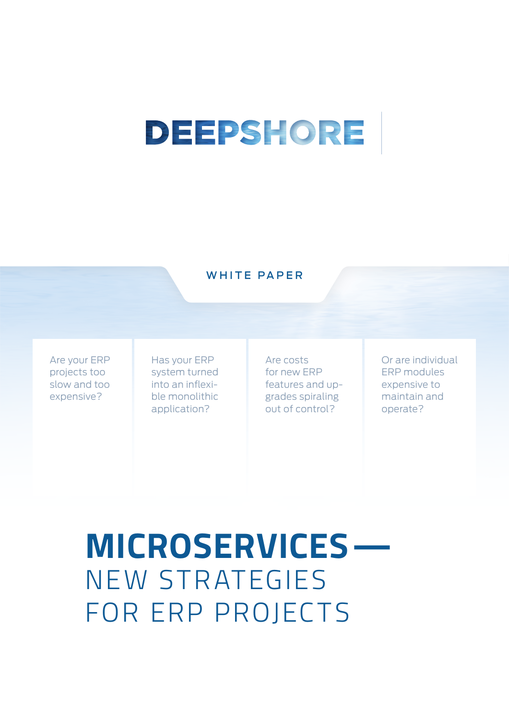# DEEPSHORE

#### WHITE PAPER

Are your ERP projects too slow and too expensive?

Has your ERP system turned into an inflexible monolithic application?

Are costs for new ERP features and upgrades spiraling out of control?

Or are individual ERP modules expensive to maintain and operate?

**MICROSERVICES—** NEW STRATEGIES FOR ERP PROJECTS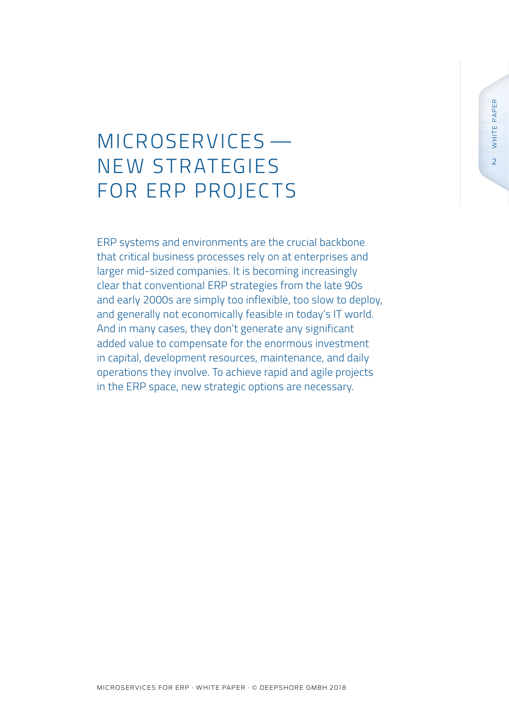## MICROSERVICES — NE W S TR ATEGIES FOR ERP PROJECTS

ERP systems and environments are the crucial backbone that critical business processes rely on at enterprises and larger mid-sized companies. It is becoming increasingly clear that conventional ERP strategies from the late 90s and early 2000s are simply too inflexible, too slow to deploy, and generally not economically feasible in today's IT world. And in many cases, they don't generate any significant added value to compensate for the enormous investment in capital, development resources, maintenance, and daily operations they involve. To achieve rapid and agile projects in the ERP space, new strategic options are necessary.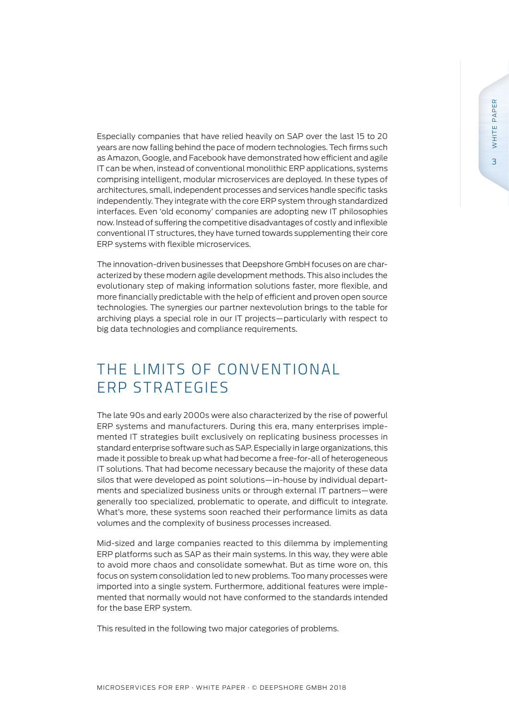Especially companies that have relied heavily on SAP over the last 15 to 20 years are now falling behind the pace of modern technologies. Tech firms such as Amazon, Google, and Facebook have demonstrated how efficient and agile IT can be when, instead of conventional monolithic ERP applications, systems comprising intelligent, modular microservices are deployed. In these types of architectures, small, independent processes and services handle specific tasks independently. They integrate with the core ERP system through standardized interfaces. Even 'old economy' companies are adopting new IT philosophies now. Instead of suffering the competitive disadvantages of costly and inflexible conventional IT structures, they have turned towards supplementing their core ERP systems with flexible microservices.

The innovation-driven businesses that Deepshore GmbH focuses on are characterized by these modern agile development methods. This also includes the evolutionary step of making information solutions faster, more flexible, and more financially predictable with the help of efficient and proven open source technologies. The synergies our partner nextevolution brings to the table for archiving plays a special role in our IT projects—particularly with respect to big data technologies and compliance requirements.

### THE LIMITS OF CONVENTIONAL ERP STRATEGIES

The late 90s and early 2000s were also characterized by the rise of powerful ERP systems and manufacturers. During this era, many enterprises implemented IT strategies built exclusively on replicating business processes in standard enterprise software such as SAP. Especially in large organizations, this made it possible to break up what had become a free-for-all of heterogeneous IT solutions. That had become necessary because the majority of these data silos that were developed as point solutions—in-house by individual departments and specialized business units or through external IT partners—were generally too specialized, problematic to operate, and difficult to integrate. What's more, these systems soon reached their performance limits as data volumes and the complexity of business processes increased.

Mid-sized and large companies reacted to this dilemma by implementing ERP platforms such as SAP as their main systems. In this way, they were able to avoid more chaos and consolidate somewhat. But as time wore on, this focus on system consolidation led to new problems. Too many processes were imported into a single system. Furthermore, additional features were implemented that normally would not have conformed to the standards intended for the base ERP system.

This resulted in the following two major categories of problems.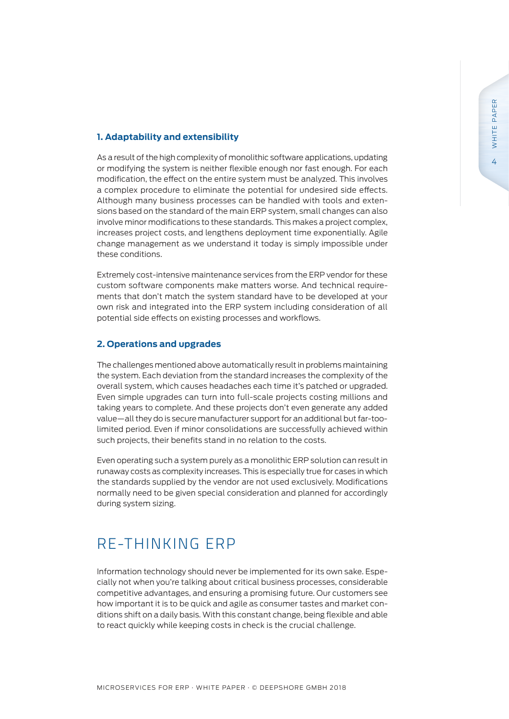#### **1. Adaptability and extensibility**

As a result of the high complexity of monolithic software applications, updating or modifying the system is neither flexible enough nor fast enough. For each modification, the effect on the entire system must be analyzed. This involves a complex procedure to eliminate the potential for undesired side effects. Although many business processes can be handled with tools and extensions based on the standard of the main ERP system, small changes can also involve minor modifications to these standards. This makes a project complex, increases project costs, and lengthens deployment time exponentially. Agile change management as we understand it today is simply impossible under these conditions.

Extremely cost-intensive maintenance services from the ERP vendor for these custom software components make matters worse. And technical requirements that don't match the system standard have to be developed at your own risk and integrated into the ERP system including consideration of all potential side effects on existing processes and workflows.

#### **2. Operations and upgrades**

The challenges mentioned above automatically result in problems maintaining the system. Each deviation from the standard increases the complexity of the overall system, which causes headaches each time it's patched or upgraded. Even simple upgrades can turn into full-scale projects costing millions and taking years to complete. And these projects don't even generate any added value—all they do is secure manufacturer support for an additional but far-toolimited period. Even if minor consolidations are successfully achieved within such projects, their benefits stand in no relation to the costs.

Even operating such a system purely as a monolithic ERP solution can result in runaway costs as complexity increases. This is especially true for cases in which the standards supplied by the vendor are not used exclusively. Modifications normally need to be given special consideration and planned for accordingly during system sizing.

### RE-THINKING ERP

Information technology should never be implemented for its own sake. Especially not when you're talking about critical business processes, considerable competitive advantages, and ensuring a promising future. Our customers see how important it is to be quick and agile as consumer tastes and market conditions shift on a daily basis. With this constant change, being flexible and able to react quickly while keeping costs in check is the crucial challenge.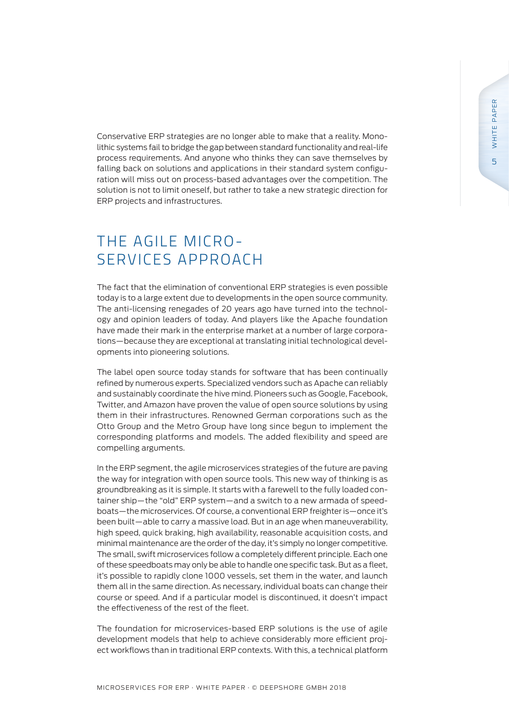Conservative ERP strategies are no longer able to make that a reality. Monolithic systems fail to bridge the gap between standard functionality and real-life process requirements. And anyone who thinks they can save themselves by falling back on solutions and applications in their standard system configuration will miss out on process-based advantages over the competition. The solution is not to limit oneself, but rather to take a new strategic direction for ERP projects and infrastructures.

### THE AGILE MICRO-SERVICES APPROACH

The fact that the elimination of conventional ERP strategies is even possible today is to a large extent due to developments in the open source community. The anti-licensing renegades of 20 years ago have turned into the technology and opinion leaders of today. And players like the Apache foundation have made their mark in the enterprise market at a number of large corporations—because they are exceptional at translating initial technological developments into pioneering solutions.

The label open source today stands for software that has been continually refined by numerous experts. Specialized vendors such as Apache can reliably and sustainably coordinate the hive mind. Pioneers such as Google, Facebook, Twitter, and Amazon have proven the value of open source solutions by using them in their infrastructures. Renowned German corporations such as the Otto Group and the Metro Group have long since begun to implement the corresponding platforms and models. The added flexibility and speed are compelling arguments.

In the ERP segment, the agile microservices strategies of the future are paving the way for integration with open source tools. This new way of thinking is as groundbreaking as it is simple. It starts with a farewell to the fully loaded container ship—the "old" ERP system—and a switch to a new armada of speedboats—the microservices. Of course, a conventional ERP freighter is—once it's been built—able to carry a massive load. But in an age when maneuverability, high speed, quick braking, high availability, reasonable acquisition costs, and minimal maintenance are the order of the day, it's simply no longer competitive. The small, swift microservices follow a completely different principle. Each one of these speedboats may only be able to handle one specific task. But as a fleet, it's possible to rapidly clone 1000 vessels, set them in the water, and launch them all in the same direction. As necessary, individual boats can change their course or speed. And if a particular model is discontinued, it doesn't impact the effectiveness of the rest of the fleet.

The foundation for microservices-based ERP solutions is the use of agile development models that help to achieve considerably more efficient project workflows than in traditional ERP contexts. With this, a technical platform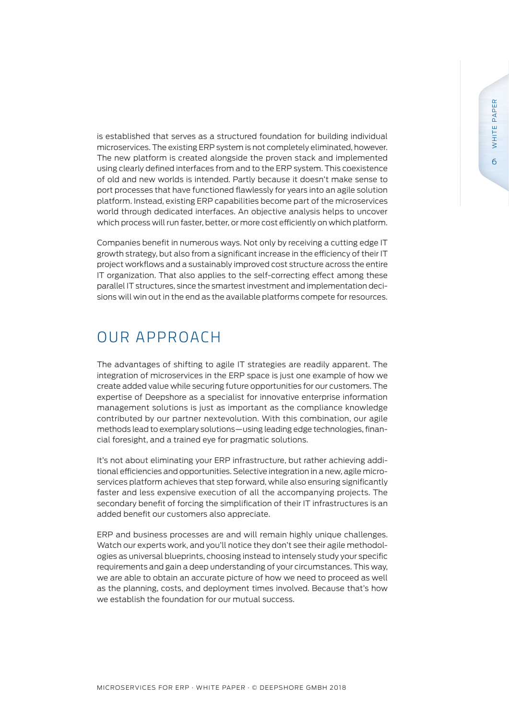is established that serves as a structured foundation for building individual microservices. The existing ERP system is not completely eliminated, however. The new platform is created alongside the proven stack and implemented using clearly defined interfaces from and to the ERP system. This coexistence of old and new worlds is intended. Partly because it doesn't make sense to port processes that have functioned flawlessly for years into an agile solution platform. Instead, existing ERP capabilities become part of the microservices world through dedicated interfaces. An objective analysis helps to uncover which process will run faster, better, or more cost efficiently on which platform.

Companies benefit in numerous ways. Not only by receiving a cutting edge IT growth strategy, but also from a significant increase in the efficiency of their IT project workflows and a sustainably improved cost structure across the entire IT organization. That also applies to the self-correcting effect among these parallel IT structures, since the smartest investment and implementation decisions will win out in the end as the available platforms compete for resources.

#### OUR APPROACH

The advantages of shifting to agile IT strategies are readily apparent. The integration of microservices in the ERP space is just one example of how we create added value while securing future opportunities for our customers. The expertise of Deepshore as a specialist for innovative enterprise information management solutions is just as important as the compliance knowledge contributed by our partner nextevolution. With this combination, our agile methods lead to exemplary solutions—using leading edge technologies, financial foresight, and a trained eye for pragmatic solutions.

It's not about eliminating your ERP infrastructure, but rather achieving additional efficiencies and opportunities. Selective integration in a new, agile microservices platform achieves that step forward, while also ensuring significantly faster and less expensive execution of all the accompanying projects. The secondary benefit of forcing the simplification of their IT infrastructures is an added benefit our customers also appreciate.

ERP and business processes are and will remain highly unique challenges. Watch our experts work, and you'll notice they don't see their agile methodologies as universal blueprints, choosing instead to intensely study your specific requirements and gain a deep understanding of your circumstances. This way, we are able to obtain an accurate picture of how we need to proceed as well as the planning, costs, and deployment times involved. Because that's how we establish the foundation for our mutual success.